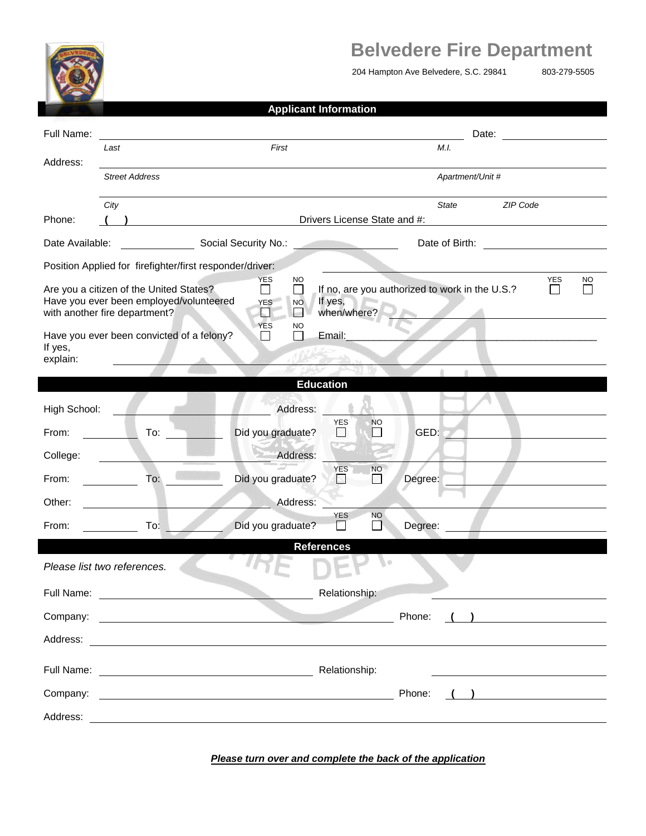

## **Belvedere Fire Department**

204 Hampton Ave Belvedere, S.C. 29841 803-279-5505

| <b>Applicant Information</b> |  |
|------------------------------|--|
|                              |  |

| Full Name:                                                                                                          |      |                       |                                                                                                                         |                                         |                                   |                  |                                                |                | Date:                                       |            |           |
|---------------------------------------------------------------------------------------------------------------------|------|-----------------------|-------------------------------------------------------------------------------------------------------------------------|-----------------------------------------|-----------------------------------|------------------|------------------------------------------------|----------------|---------------------------------------------|------------|-----------|
|                                                                                                                     | Last |                       | First                                                                                                                   |                                         |                                   |                  |                                                | M.I.           |                                             |            |           |
| Address:                                                                                                            |      | <b>Street Address</b> |                                                                                                                         |                                         |                                   | Apartment/Unit # |                                                |                |                                             |            |           |
|                                                                                                                     | City |                       |                                                                                                                         |                                         |                                   |                  |                                                | State          | ZIP Code                                    |            |           |
| Phone:                                                                                                              |      |                       |                                                                                                                         |                                         | Drivers License State and #:      |                  |                                                |                |                                             |            |           |
| Date Available:                                                                                                     |      |                       | Social Security No.:                                                                                                    |                                         | the company's company's company's |                  |                                                | Date of Birth: |                                             |            |           |
|                                                                                                                     |      |                       | Position Applied for firefighter/first responder/driver:                                                                |                                         |                                   |                  |                                                |                |                                             |            |           |
| Are you a citizen of the United States?<br>Have you ever been employed/volunteered<br>with another fire department? |      |                       | <b>YES</b><br><b>YES</b><br>⊡                                                                                           | NO.<br>П<br><b>NO</b><br><b>Alberta</b> | If yes,<br>when/where?            |                  | If no, are you authorized to work in the U.S.? |                |                                             | <b>YES</b> | <b>NO</b> |
| Have you ever been convicted of a felony?<br>If yes,<br>explain:                                                    |      |                       | <b>YES</b><br>$\overline{\phantom{a}}$                                                                                  | <b>NO</b>                               | Email:                            |                  |                                                |                |                                             |            |           |
|                                                                                                                     |      |                       |                                                                                                                         |                                         | <b>Education</b>                  |                  |                                                |                |                                             |            |           |
| High School:                                                                                                        |      |                       |                                                                                                                         | Address:                                |                                   |                  |                                                |                |                                             |            |           |
| From:                                                                                                               |      | To: $\frac{\ }{\ }$   | Did you graduate?                                                                                                       |                                         | <b>YES</b>                        | NO               | GED:                                           |                |                                             |            |           |
| College:                                                                                                            |      |                       |                                                                                                                         | Address:                                |                                   |                  |                                                |                |                                             |            |           |
| From:                                                                                                               |      | To:                   | Did you graduate?                                                                                                       |                                         | <b>YES</b><br>N.                  | <b>NO</b><br>M   | Degree:                                        |                |                                             |            |           |
| Other:                                                                                                              |      |                       |                                                                                                                         | Address:                                |                                   |                  |                                                |                |                                             |            |           |
| From:                                                                                                               |      | To:                   | Did you graduate?                                                                                                       |                                         | <b>YES</b>                        | NO.<br>$\Box$    | Degree:                                        |                |                                             |            |           |
| Please list two references.                                                                                         |      |                       |                                                                                                                         |                                         | <b>References</b>                 |                  |                                                |                |                                             |            |           |
| Full Name:                                                                                                          |      |                       |                                                                                                                         |                                         | Relationship:                     |                  |                                                |                |                                             |            |           |
| Company:                                                                                                            |      |                       | <u> Alexander de la companya de la companya de la companya de la companya de la companya de la companya de la compa</u> |                                         |                                   |                  | Phone:                                         |                | <u> 1989 - Johann Barbara, martxa a</u>     |            |           |
|                                                                                                                     |      |                       |                                                                                                                         |                                         |                                   |                  |                                                |                |                                             |            |           |
|                                                                                                                     |      |                       |                                                                                                                         |                                         |                                   |                  |                                                |                |                                             |            |           |
|                                                                                                                     |      |                       |                                                                                                                         |                                         |                                   |                  | Phone:                                         |                | $\left(\begin{array}{c} \end{array}\right)$ |            |           |
|                                                                                                                     |      |                       |                                                                                                                         |                                         |                                   |                  |                                                |                |                                             |            |           |